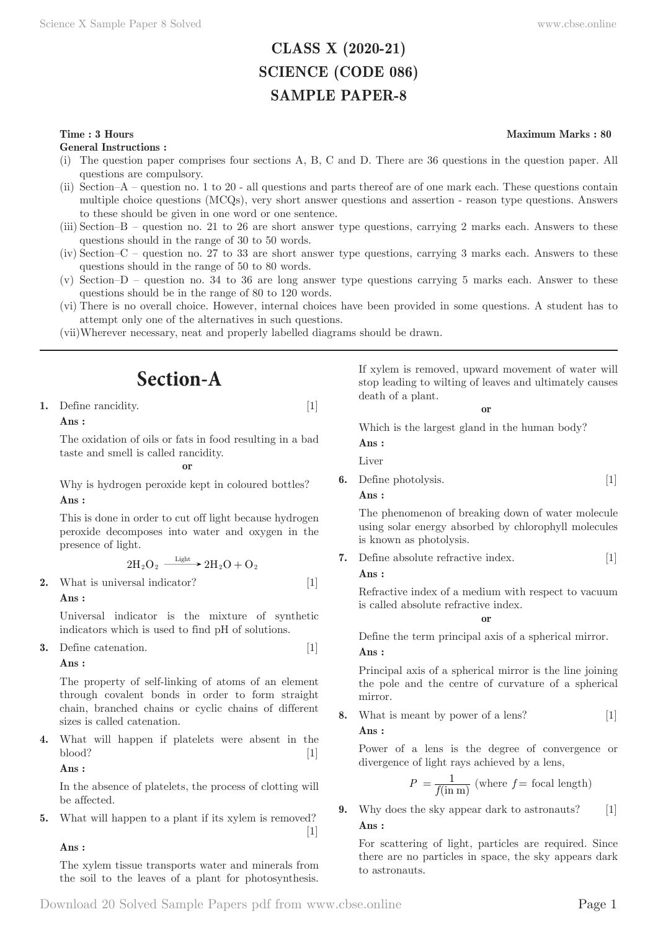# **CLASS X (2020-21) SCIENCE (CODE 086) SAMPLE PAPER-8**

# **Time : 3 Hours** Maximum Marks : 80

**General Instructions :**

- (i) The question paper comprises four sections A, B, C and D. There are 36 questions in the question paper. All questions are compulsory.
- (ii) Section–A question no. 1 to 20 all questions and parts thereof are of one mark each. These questions contain multiple choice questions (MCQs), very short answer questions and assertion - reason type questions. Answers to these should be given in one word or one sentence.
- (iii) Section–B question no. 21 to 26 are short answer type questions, carrying 2 marks each. Answers to these questions should in the range of 30 to 50 words.
- (iv) Section–C question no. 27 to 33 are short answer type questions, carrying 3 marks each. Answers to these questions should in the range of 50 to 80 words.
- (v) Section–D question no. 34 to 36 are long answer type questions carrying 5 marks each. Answer to these questions should be in the range of 80 to 120 words.
- (vi) There is no overall choice. However, internal choices have been provided in some questions. A student has to attempt only one of the alternatives in such questions.
- (vii) Wherever necessary, neat and properly labelled diagrams should be drawn.

# **Section-A**

**1.** Define rancidity. [1]

**Ans :** 

The oxidation of oils or fats in food resulting in a bad taste and smell is called rancidity.

**or**

Why is hydrogen peroxide kept in coloured bottles? **Ans :** 

This is done in order to cut off light because hydrogen peroxide decomposes into water and oxygen in the presence of light.

$$
2H_2O_2 \xrightarrow{\text{Light}} 2H_2O + O_2
$$

**2.** What is universal indicator? [1]

**Ans :** 

Universal indicator is the mixture of synthetic indicators which is used to find pH of solutions.

**3.** Define catenation. [1]

**Ans :** 

The property of self-linking of atoms of an element through covalent bonds in order to form straight chain, branched chains or cyclic chains of different sizes is called catenation.

**4.** What will happen if platelets were absent in the blood? [1]

**Ans :** 

In the absence of platelets, the process of clotting will be affected.

**5.** What will happen to a plant if its xylem is removed?  $\lceil 1 \rceil$ 

# **Ans :**

The xylem tissue transports water and minerals from the soil to the leaves of a plant for photosynthesis.

If xylem is removed, upward movement of water will stop leading to wilting of leaves and ultimately causes death of a plant.

**or**

Which is the largest gland in the human body?

**Ans :**  Liver

**6.** Define photolysis. [1] **Ans :** 

The phenomenon of breaking down of water molecule using solar energy absorbed by chlorophyll molecules is known as photolysis.

**7.** Define absolute refractive index. [1] **Ans :** 

Refractive index of a medium with respect to vacuum is called absolute refractive index. **or**

Define the term principal axis of a spherical mirror. **Ans :** 

Principal axis of a spherical mirror is the line joining the pole and the centre of curvature of a spherical mirror.

**8.** What is meant by power of a lens? [1] **Ans :** 

Power of a lens is the degree of convergence or divergence of light rays achieved by a lens,

$$
P = \frac{1}{f(\ln m)} \text{ (where } f = \text{focal length)}
$$

**9.** Why does the sky appear dark to astronauts? [1] **Ans :** 

For scattering of light, particles are required. Since there are no particles in space, the sky appears dark to astronauts.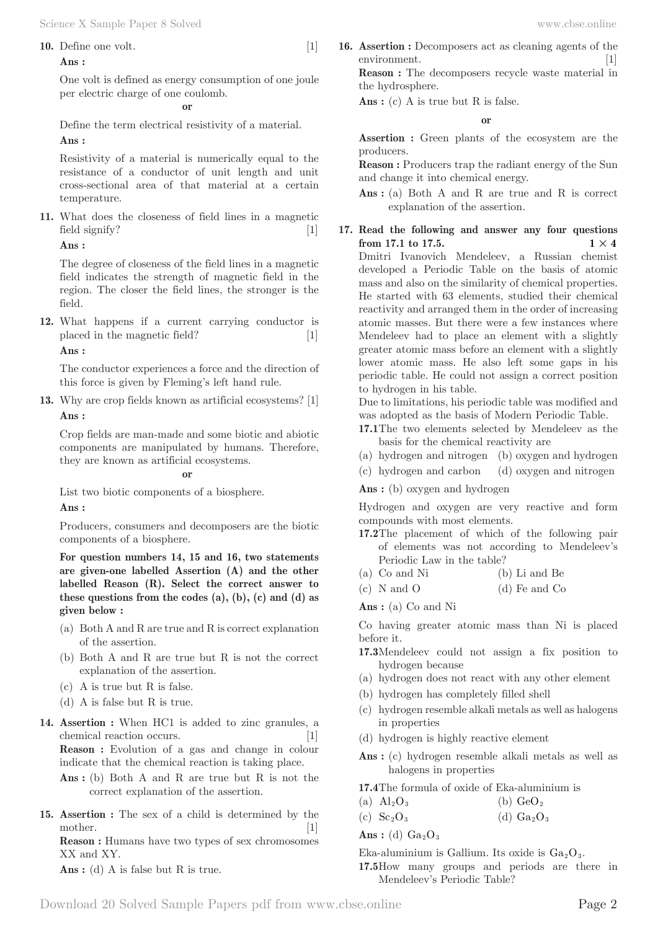#### **10.** Define one volt. [1]

# **Ans :**

One volt is defined as energy consumption of one joule per electric charge of one coulomb.

## **or**

Define the term electrical resistivity of a material.

# **Ans :**

Resistivity of a material is numerically equal to the resistance of a conductor of unit length and unit cross-sectional area of that material at a certain temperature.

**11.** What does the closeness of field lines in a magnetic field signify? [1]

**Ans :** 

The degree of closeness of the field lines in a magnetic field indicates the strength of magnetic field in the region. The closer the field lines, the stronger is the field.

**12.** What happens if a current carrying conductor is placed in the magnetic field? [1]

**Ans :** 

The conductor experiences a force and the direction of this force is given by Fleming's left hand rule.

**13.** Why are crop fields known as artificial ecosystems? [1] **Ans :** 

Crop fields are man-made and some biotic and abiotic components are manipulated by humans. Therefore, they are known as artificial ecosystems.

# **or**

List two biotic components of a biosphere.

**Ans :** 

Producers, consumers and decomposers are the biotic components of a biosphere.

**For question numbers 14, 15 and 16, two statements are given-one labelled Assertion (A) and the other labelled Reason (R). Select the correct answer to these questions from the codes (a), (b), (c) and (d) as given below :**

- (a) Both A and R are true and R is correct explanation of the assertion.
- (b) Both A and R are true but R is not the correct explanation of the assertion.
- (c) A is true but R is false.
- (d) A is false but R is true.
- **14. Assertion :** When HC1 is added to zinc granules, a chemical reaction occurs. **Reason :** Evolution of a gas and change in colour indicate that the chemical reaction is taking place.

Ans : (b) Both A and R are true but R is not the correct explanation of the assertion.

**15. Assertion :** The sex of a child is determined by the mother. [1] **Reason :** Humans have two types of sex chromosomes XX and XY.

Ans : (d) A is false but R is true.

**16. Assertion :** Decomposers act as cleaning agents of the environment. [1] **Reason :** The decomposers recycle waste material in

the hydrosphere.

Ans : (c) A is true but R is false.

#### **or**

**Assertion :** Green plants of the ecosystem are the producers.

**Reason :** Producers trap the radiant energy of the Sun and change it into chemical energy.

**17. Read the following and answer any four questions from 17.1 to 17.5. 1**  $\times$  **4** Dmitri Ivanovich Mendeleev, a Russian chemist developed a Periodic Table on the basis of atomic mass and also on the similarity of chemical properties. He started with 63 elements, studied their chemical reactivity and arranged them in the order of increasing atomic masses. But there were a few instances where Mendeleev had to place an element with a slightly greater atomic mass before an element with a slightly lower atomic mass. He also left some gaps in his periodic table. He could not assign a correct position

Due to limitations, his periodic table was modified and was adopted as the basis of Modern Periodic Table.

**17.1** The two elements selected by Mendeleev as the basis for the chemical reactivity are

- (a) hydrogen and nitrogen (b) oxygen and hydrogen
- (c) hydrogen and carbon (d) oxygen and nitrogen

Ans : (b) oxygen and hydrogen

to hydrogen in his table.

Hydrogen and oxygen are very reactive and form compounds with most elements.

- **17.2** The placement of which of the following pair of elements was not according to Mendeleev's Periodic Law in the table?
- (a) Co and Ni (b) Li and Be
- (c) N and O (d) Fe and Co

**Ans :** (a) Co and Ni

Co having greater atomic mass than Ni is placed before it.

- **17.3** Mendeleev could not assign a fix position to hydrogen because
- (a) hydrogen does not react with any other element
- (b) hydrogen has completely filled shell
- (c) hydrogen resemble alkali metals as well as halogens in properties
- (d) hydrogen is highly reactive element
- **Ans :** (c) hydrogen resemble alkali metals as well as halogens in properties

**17.4** The formula of oxide of Eka-aluminium is

- (a)  $Al_2O_3$  (b)  $GeO_2$
- (c)  $Sc_2O_3$  (d)  $Ga_2O_3$

 $\text{Ans: (d) } Ga_2O_3$ 

Eka-aluminium is Gallium. Its oxide is  $Ga<sub>2</sub>O<sub>3</sub>$ .

**17.5** How many groups and periods are there in Mendeleev's Periodic Table?

**Ans :** (a) Both A and R are true and R is correct explanation of the assertion.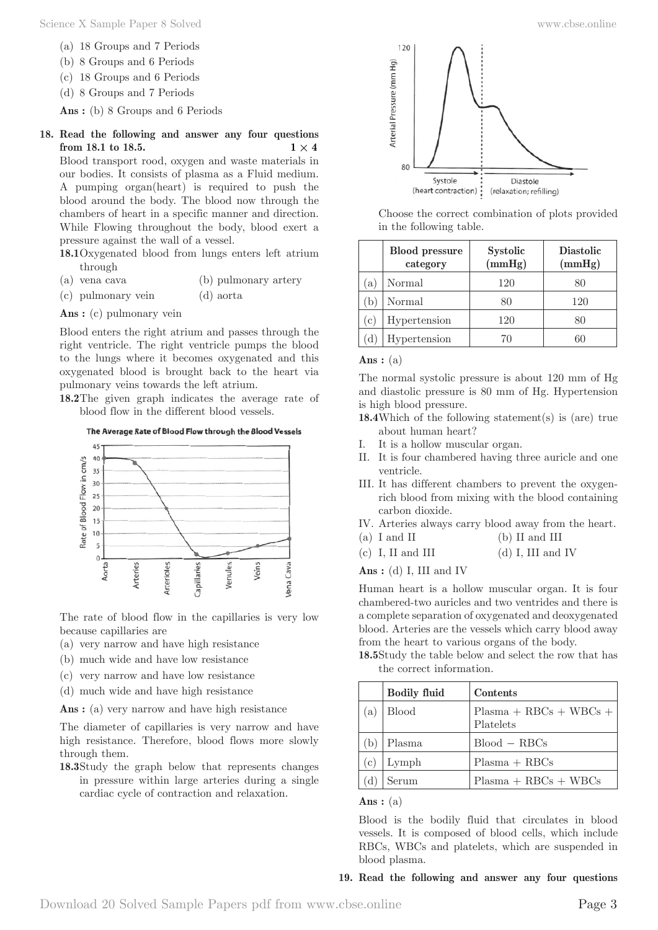- (a) 18 Groups and 7 Periods
- (b) 8 Groups and 6 Periods
- (c) 18 Groups and 6 Periods
- (d) 8 Groups and 7 Periods
- **Ans :** (b) 8 Groups and 6 Periods

# **18. Read the following and answer any four questions from 18.1 to 18.5. 1**  $\times$  **4**

Blood transport rood, oxygen and waste materials in our bodies. It consists of plasma as a Fluid medium. A pumping organ(heart) is required to push the blood around the body. The blood now through the chambers of heart in a specific manner and direction. While Flowing throughout the body, blood exert a pressure against the wall of a vessel.

**18.1** Oxygenated blood from lungs enters left atrium through

| (a) vena cava | (b) pulmonary artery |
|---------------|----------------------|
|---------------|----------------------|

(c) pulmonary vein (d) aorta

**Ans :** (c) pulmonary vein

Blood enters the right atrium and passes through the right ventricle. The right ventricle pumps the blood to the lungs where it becomes oxygenated and this oxygenated blood is brought back to the heart via pulmonary veins towards the left atrium.

**18.2** The given graph indicates the average rate of blood flow in the different blood vessels.





The rate of blood flow in the capillaries is very low because capillaries are

- (a) very narrow and have high resistance
- (b) much wide and have low resistance
- (c) very narrow and have low resistance
- (d) much wide and have high resistance

Ans : (a) very narrow and have high resistance

The diameter of capillaries is very narrow and have high resistance. Therefore, blood flows more slowly through them.

**18.3** Study the graph below that represents changes in pressure within large arteries during a single cardiac cycle of contraction and relaxation.



 Choose the correct combination of plots provided in the following table.

|                   | <b>Blood</b> pressure<br>category | <b>Systolic</b><br>(mmHg) | <b>Diastolic</b><br>(mmHg) |
|-------------------|-----------------------------------|---------------------------|----------------------------|
| a)                | Normal                            | 120                       | 80                         |
|                   | Normal                            | 80                        | 120                        |
| $\cdot$ C $\cdot$ | Hypertension                      | 120                       | 80                         |
|                   | Hypertension                      | 70                        | 60                         |

### **Ans :** (a)

The normal systolic pressure is about 120 mm of Hg and diastolic pressure is 80 mm of Hg. Hypertension is high blood pressure.

- **18.4** Which of the following statement(s) is (are) true about human heart?
- I. It is a hollow muscular organ.
- II. It is four chambered having three auricle and one ventricle.
- III. It has different chambers to prevent the oxygenrich blood from mixing with the blood containing carbon dioxide.
- IV. Arteries always carry blood away from the heart.
- (a) I and II (b) II and III
- (c) I, II and III (d) I, III and IV

**Ans :** (d) I, III and IV

Human heart is a hollow muscular organ. It is four chambered-two auricles and two ventrides and there is a complete separation of oxygenated and deoxygenated blood. Arteries are the vessels which carry blood away from the heart to various organs of the body.

**18.5** Study the table below and select the row that has the correct information.

|                   | <b>Bodily fluid</b> | Contents                              |
|-------------------|---------------------|---------------------------------------|
| (a)               | <b>Blood</b>        | $Plasma + RBCs + WBCs +$<br>Platelets |
|                   | Plasma              | $Blood - RBCs$                        |
| $\cdot$ C $\cdot$ | Lymph               | $Plasma + RBCs$                       |
|                   | Serum               | $Plasma + RBCs + WBCs$                |

**Ans :** (a)

Blood is the bodily fluid that circulates in blood vessels. It is composed of blood cells, which include RBCs, WBCs and platelets, which are suspended in blood plasma.

**19. Read the following and answer any four questions**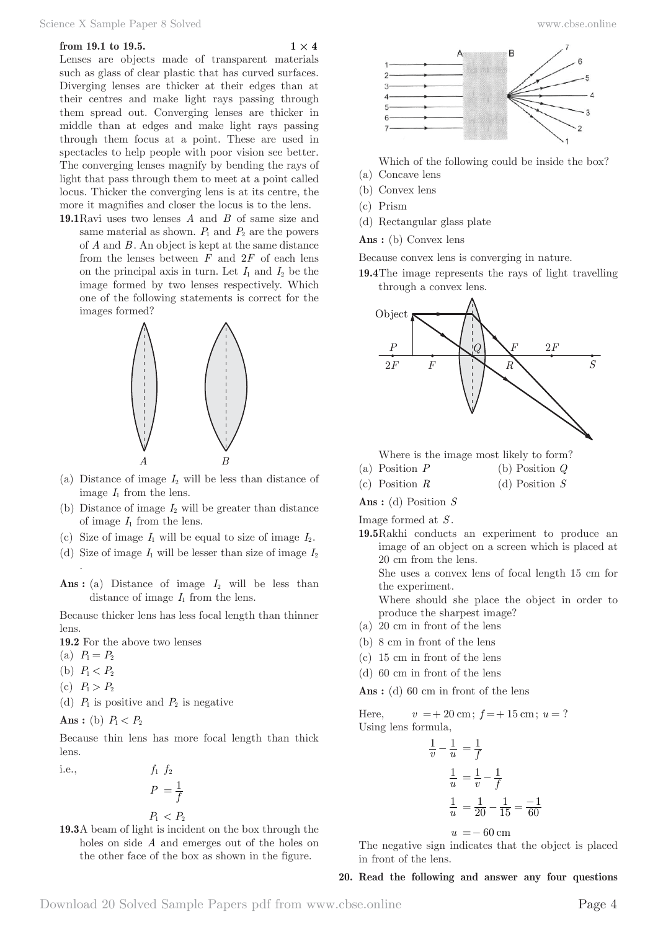# **from 19.1 to 19.5. 1**  $\times$  **4**

Lenses are objects made of transparent materials such as glass of clear plastic that has curved surfaces. Diverging lenses are thicker at their edges than at their centres and make light rays passing through them spread out. Converging lenses are thicker in middle than at edges and make light rays passing through them focus at a point. These are used in spectacles to help people with poor vision see better. The converging lenses magnify by bending the rays of light that pass through them to meet at a point called locus. Thicker the converging lens is at its centre, the more it magnifies and closer the locus is to the lens.

**19.1** Ravi uses two lenses *A* and *B* of same size and same material as shown.  $P_1$  and  $P_2$  are the powers of *A* and *B* . An object is kept at the same distance from the lenses between  $F$  and  $2F$  of each lens on the principal axis in turn. Let  $I_1$  and  $I_2$  be the image formed by two lenses respectively. Which one of the following statements is correct for the images formed?



- (a) Distance of image  $I_2$  will be less than distance of image  $I_1$  from the lens.
- (b) Distance of image  $I_2$  will be greater than distance of image  $I_1$  from the lens.
- (c) Size of image  $I_1$  will be equal to size of image  $I_2$ .
- (d) Size of image  $I_1$  will be lesser than size of image  $I_2$ .

Ans: (a) Distance of image  $I_2$  will be less than distance of image  $I_1$  from the lens.

Because thicker lens has less focal length than thinner lens.

**19.2** For the above two lenses

- (a)  $P_1 = P_2$
- (b)  $P_1 < P_2$
- (c)  $P_1 > P_2$
- (d)  $P_1$  is positive and  $P_2$  is negative

**Ans** : (b)  $P_1 < P_2$ 

Because thin lens has more focal length than thick lens.

i.e.,  $f_1 \, f_2$ 



**19.3** A beam of light is incident on the box through the holes on side *A* and emerges out of the holes on the other face of the box as shown in the figure.



Which of the following could be inside the box?

- (a) Concave lens
- (b) Convex lens
- (c) Prism
- (d) Rectangular glass plate
- Ans : (b) Convex lens

Because convex lens is converging in nature.

**19.4** The image represents the rays of light travelling through a convex lens.



Where is the image most likely to form?

- (a) Position *P* (b) Position *Q*
- (c) Position *R* (d) Position *S*

**Ans :** (d) Position *S*

Image formed at *S* .

**19.5** Rakhi conducts an experiment to produce an image of an object on a screen which is placed at 20 cm from the lens.

 She uses a convex lens of focal length 15 cm for the experiment.

 Where should she place the object in order to produce the sharpest image?

- (a) 20 cm in front of the lens
- (b) 8 cm in front of the lens
- (c) 15 cm in front of the lens
- (d) 60 cm in front of the lens

in front of the lens.

**Ans :** (d) 60 cm in front of the lens

Here,  $v = +20$  cm;  $f = +15$  cm;  $u = ?$ Using lens formula,

$$
\frac{1}{v} - \frac{1}{u} = \frac{1}{f}
$$

$$
\frac{1}{u} = \frac{1}{v} - \frac{1}{f}
$$

$$
\frac{1}{u} = \frac{1}{20} - \frac{1}{15} = \frac{-1}{60}
$$

 $u = -60$  cm The negative sign indicates that the object is placed

**20. Read the following and answer any four questions**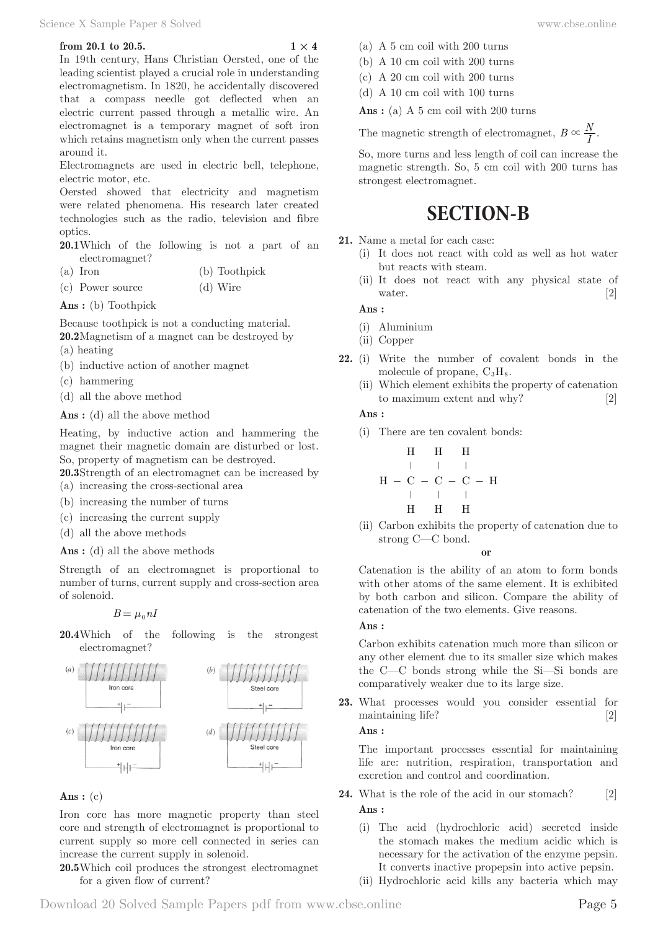# **from 20.1 to 20.5. 1**  $\times$  **4**

In 19th century, Hans Christian Oersted, one of the leading scientist played a crucial role in understanding electromagnetism. In 1820, he accidentally discovered that a compass needle got deflected when an electric current passed through a metallic wire. An electromagnet is a temporary magnet of soft iron which retains magnetism only when the current passes around it.

Electromagnets are used in electric bell, telephone, electric motor, etc.

Oersted showed that electricity and magnetism were related phenomena. His research later created technologies such as the radio, television and fibre optics.

**20.1** Which of the following is not a part of an electromagnet?

(a) Iron (b) Toothpick

(c) Power source (d) Wire

**Ans :** (b) Toothpick

Because toothpick is not a conducting material. **20.2** Magnetism of a magnet can be destroyed by

- (a) heating
- (b) inductive action of another magnet
- (c) hammering
- (d) all the above method

**Ans :** (d) all the above method

Heating, by inductive action and hammering the magnet their magnetic domain are disturbed or lost. So, property of magnetism can be destroyed.

**20.3** Strength of an electromagnet can be increased by

- (a) increasing the cross-sectional area
- (b) increasing the number of turns
- (c) increasing the current supply
- (d) all the above methods

Ans : (d) all the above methods

Strength of an electromagnet is proportional to number of turns, current supply and cross-section area of solenoid.

$$
B\!=\mu_0 nI
$$

**20.4** Which of the following is the strongest electromagnet?



**Ans :** (c)

Iron core has more magnetic property than steel core and strength of electromagnet is proportional to current supply so more cell connected in series can increase the current supply in solenoid.

**20.5** Which coil produces the strongest electromagnet for a given flow of current?

- (a) A 5 cm coil with 200 turns
- (b) A 10 cm coil with 200 turns
- (c) A 20 cm coil with 200 turns
- (d) A 10 cm coil with 100 turns

**Ans :** (a) A 5 cm coil with 200 turns

The magnetic strength of electromagnet,  $B \propto \frac{N}{I}$ .

So, more turns and less length of coil can increase the magnetic strength. So, 5 cm coil with 200 turns has strongest electromagnet.

# **SECTION-B**

- **21.** Name a metal for each case:
	- (i) It does not react with cold as well as hot water but reacts with steam.
	- (ii) It does not react with any physical state of water. [2]

**Ans :** 

- (i) Aluminium
- (ii) Copper
- **22.** (i) Write the number of covalent bonds in the molecule of propane,  $C_3H_8$ .
	- (ii) Which element exhibits the property of catenation to maximum extent and why? [2]

# **Ans :**

(i) There are ten covalent bonds:

$$
\begin{array}{cccccc} & H & H & H \\ & | & | & | \\ H & - & C & - & C & - & H \\ & | & | & | & | \\ & H & H & H & H \end{array}
$$

(ii) Carbon exhibits the property of catenation due to strong C—C bond.

**or**

Catenation is the ability of an atom to form bonds with other atoms of the same element. It is exhibited by both carbon and silicon. Compare the ability of catenation of the two elements. Give reasons.

**Ans :** 

Carbon exhibits catenation much more than silicon or any other element due to its smaller size which makes the C—C bonds strong while the Si—Si bonds are comparatively weaker due to its large size.

**23.** What processes would you consider essential for maintaining life? [2]

**Ans :** 

The important processes essential for maintaining life are: nutrition, respiration, transportation and excretion and control and coordination.

- **24.** What is the role of the acid in our stomach? [2] **Ans :** 
	- (i) The acid (hydrochloric acid) secreted inside the stomach makes the medium acidic which is necessary for the activation of the enzyme pepsin. It converts inactive propepsin into active pepsin.
	- (ii) Hydrochloric acid kills any bacteria which may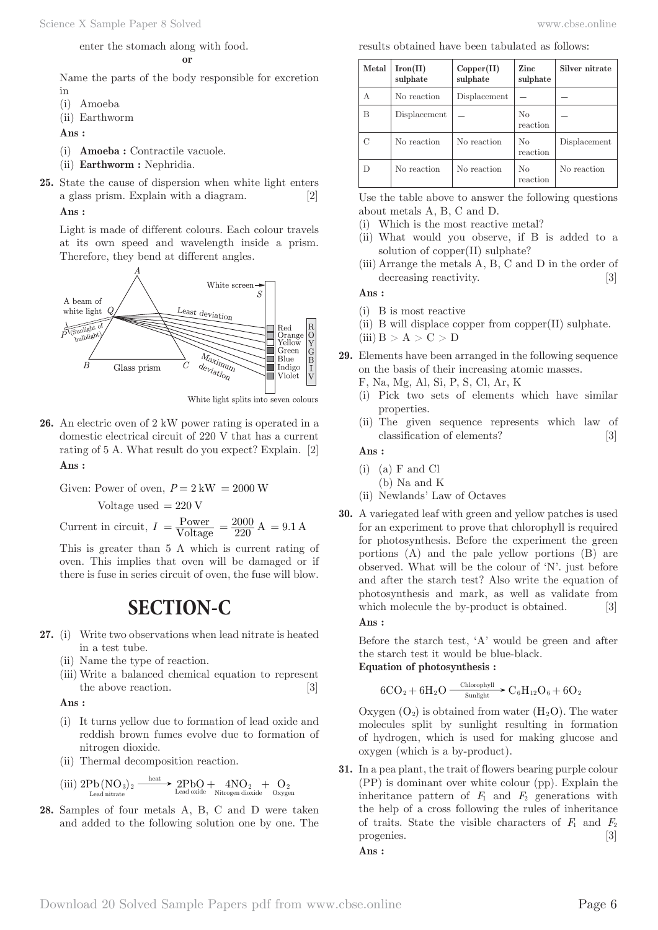enter the stomach along with food.

#### **or**

Name the parts of the body responsible for excretion in

- (i) Amoeba
- (ii) Earthworm

**Ans :** 

- (i) **Amoeba :** Contractile vacuole.
- (ii) **Earthworm :** Nephridia.
- **25.** State the cause of dispersion when white light enters a glass prism. Explain with a diagram. [2] **Ans :**

Light is made of different colours. Each colour travels at its own speed and wavelength inside a prism. Therefore, they bend at different angles.



White light splits into seven colours

**26.** An electric oven of 2 kW power rating is operated in a domestic electrical circuit of 220 V that has a current rating of 5 A. What result do you expect? Explain. [2] **Ans :** 

Given: Power of oven,  $P = 2$  kW = 2000 W

Voltage used  $= 220$  V

Current in circuit,  $I = \frac{\text{Power}}{\text{Voltage}} = \frac{2000}{220} \text{A} = 9.1 \text{A}$ 

This is greater than 5 A which is current rating of oven. This implies that oven will be damaged or if there is fuse in series circuit of oven, the fuse will blow.

# **SECTION-C**

- **27.** (i) Write two observations when lead nitrate is heated in a test tube.
	- (ii) Name the type of reaction.
	- (iii) Write a balanced chemical equation to represent the above reaction. [3]

**Ans :** 

- (i) It turns yellow due to formation of lead oxide and reddish brown fumes evolve due to formation of nitrogen dioxide.
- (ii) Thermal decomposition reaction.

(iii) 
$$
2Pb(NO_3)_2 \xrightarrow{heat} 2PbO + 4NO_2 + O_2
$$
  
lead oxide " Nitrogen dioxide" Oxygen

**28.** Samples of four metals A, B, C and D were taken and added to the following solution one by one. The results obtained have been tabulated as follows:

| Metal | $\mathrm{Iron}(\mathrm{II})$<br>sulphate | Copper(II)<br>sulphate | Zinc<br>sulphate | Silver nitrate |
|-------|------------------------------------------|------------------------|------------------|----------------|
| А     | No reaction                              | Displacement           |                  |                |
| В     | Displacement                             |                        | No<br>reaction   |                |
|       | No reaction                              | No reaction            | No<br>reaction   | Displacement   |
| D     | No reaction                              | No reaction            | No<br>reaction   | No reaction    |

Use the table above to answer the following questions about metals A, B, C and D.

- (i) Which is the most reactive metal?
- (ii) What would you observe, if B is added to a solution of copper(II) sulphate?
- (iii) Arrange the metals A, B, C and D in the order of decreasing reactivity. [3]

### **Ans :**

- (i) B is most reactive
- (ii) B will displace copper from copper(II) sulphate.
- $(iii)$   $B > A > C > D$
- **29.** Elements have been arranged in the following sequence on the basis of their increasing atomic masses.
	- F, Na, Mg, Al, Si, P, S, Cl, Ar, K
	- (i) Pick two sets of elements which have similar properties.
	- (ii) The given sequence represents which law of classification of elements? [3]

**Ans :** 

- $(i)$  (a) F and Cl
- (b) Na and K
- (ii) Newlands' Law of Octaves
- **30.** A variegated leaf with green and yellow patches is used for an experiment to prove that chlorophyll is required for photosynthesis. Before the experiment the green portions (A) and the pale yellow portions (B) are observed. What will be the colour of 'N'. just before and after the starch test? Also write the equation of photosynthesis and mark, as well as validate from which molecule the by-product is obtained. [3]

**Ans :** 

Before the starch test, 'A' would be green and after the starch test it would be blue-black.

#### **Equation of photosynthesis :**

$$
6CO_2 + 6H_2O \xrightarrow{\text{Chlorophyll}} C_6H_{12}O_6 + 6O_2
$$

Oxygen  $(O_2)$  is obtained from water  $(H_2 O)$ . The water molecules split by sunlight resulting in formation of hydrogen, which is used for making glucose and oxygen (which is a by-product).

**31.** In a pea plant, the trait of flowers bearing purple colour (PP) is dominant over white colour (pp). Explain the inheritance pattern of  $F_1$  and  $F_2$  generations with the help of a cross following the rules of inheritance of traits. State the visible characters of  $F_1$  and  $F_2$ progenies. [3]

**Ans :**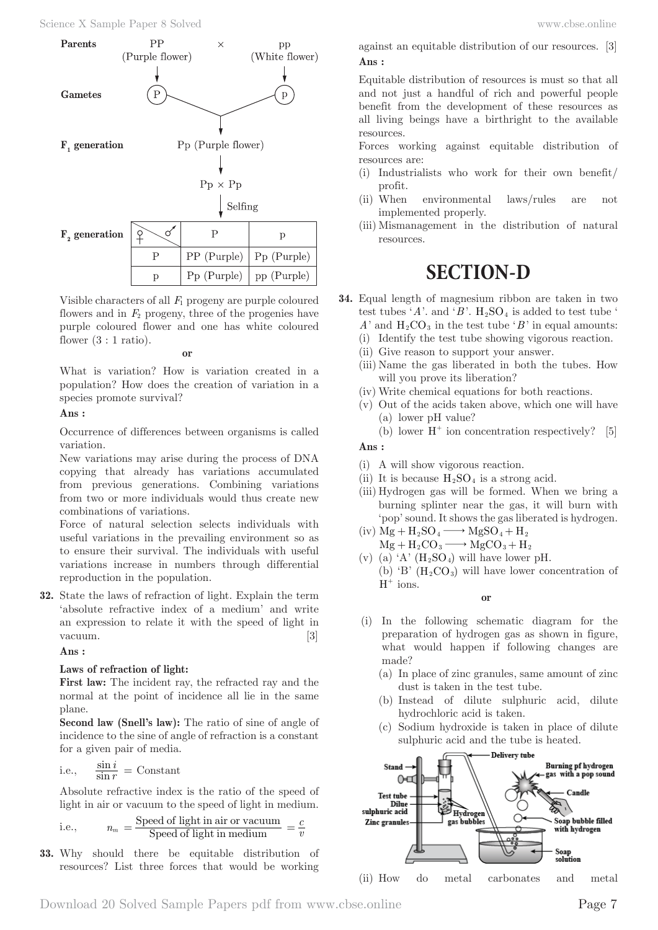Science X Sample Paper 8 Solved www.cbse.online



Visible characters of all *F*1 progeny are purple coloured flowers and in  $F_2$  progeny, three of the progenies have purple coloured flower and one has white coloured flower  $(3:1 \text{ ratio}).$ 

**or**

What is variation? How is variation created in a population? How does the creation of variation in a species promote survival?

# **Ans :**

Occurrence of differences between organisms is called variation.

New variations may arise during the process of DNA copying that already has variations accumulated from previous generations. Combining variations from two or more individuals would thus create new combinations of variations.

Force of natural selection selects individuals with useful variations in the prevailing environment so as to ensure their survival. The individuals with useful variations increase in numbers through differential reproduction in the population.

**32.** State the laws of refraction of light. Explain the term 'absolute refractive index of a medium' and write an expression to relate it with the speed of light in vacuum. [3]

**Ans :** 

# **Laws of refraction of light:**

First law: The incident ray, the refracted ray and the normal at the point of incidence all lie in the same plane.

**Second law (Snell's law):** The ratio of sine of angle of incidence to the sine of angle of refraction is a constant for a given pair of media.

i.e., 
$$
\frac{\sin i}{\sin r} = \text{Constant}
$$

Absolute refractive index is the ratio of the speed of light in air or vacuum to the speed of light in medium.

i.e., 
$$
n_m = \frac{\text{Speed of light in air or vacuum}}{\text{Speed of light in medium}} = \frac{c}{v}
$$

**33.** Why should there be equitable distribution of resources? List three forces that would be working against an equitable distribution of our resources. [3] **Ans :** 

Equitable distribution of resources is must so that all and not just a handful of rich and powerful people benefit from the development of these resources as all living beings have a birthright to the available resources.

Forces working against equitable distribution of resources are:

- (i) Industrialists who work for their own benefit/ profit.
- (ii) When environmental laws/rules are not implemented properly.
- (iii) Mismanagement in the distribution of natural resources.

# **SECTION-D**

- **34.** Equal length of magnesium ribbon are taken in two test tubes ' $A$ '. and ' $B$ '. H<sub>2</sub>SO<sub>4</sub> is added to test tube '  $A'$  and  $H_2CO_3$  in the test tube '*B*' in equal amounts:
	- (i) Identify the test tube showing vigorous reaction.
	- (ii) Give reason to support your answer.
	- (iii) Name the gas liberated in both the tubes. How will you prove its liberation?
	- (iv) Write chemical equations for both reactions.
	- (v) Out of the acids taken above, which one will have (a) lower pH value?
		- (b) lower  $H^+$  ion concentration respectively? [5]

# **Ans :**

- (i) A will show vigorous reaction.
- (ii) It is because  $H_2SO_4$  is a strong acid.
- (iii) Hydrogen gas will be formed. When we bring a burning splinter near the gas, it will burn with 'pop' sound. It shows the gas liberated is hydrogen.
- (iv)  $Mg + H_2SO_4 \longrightarrow MgSO_4 + H_2$  $Mg + H_2CO_3 \longrightarrow MgCO_3 + H_2$
- (v) (a) 'A'  $(H_2SO_4)$  will have lower pH.
- (b) 'B'  $(H_2CO_3)$  will have lower concentration of  $H^+$  ions.
	- **or**
- (i) In the following schematic diagram for the preparation of hydrogen gas as shown in figure, what would happen if following changes are made?
	- (a) In place of zinc granules, same amount of zinc dust is taken in the test tube.
	- (b) Instead of dilute sulphuric acid, dilute hydrochloric acid is taken.
	- (c) Sodium hydroxide is taken in place of dilute sulphuric acid and the tube is heated.

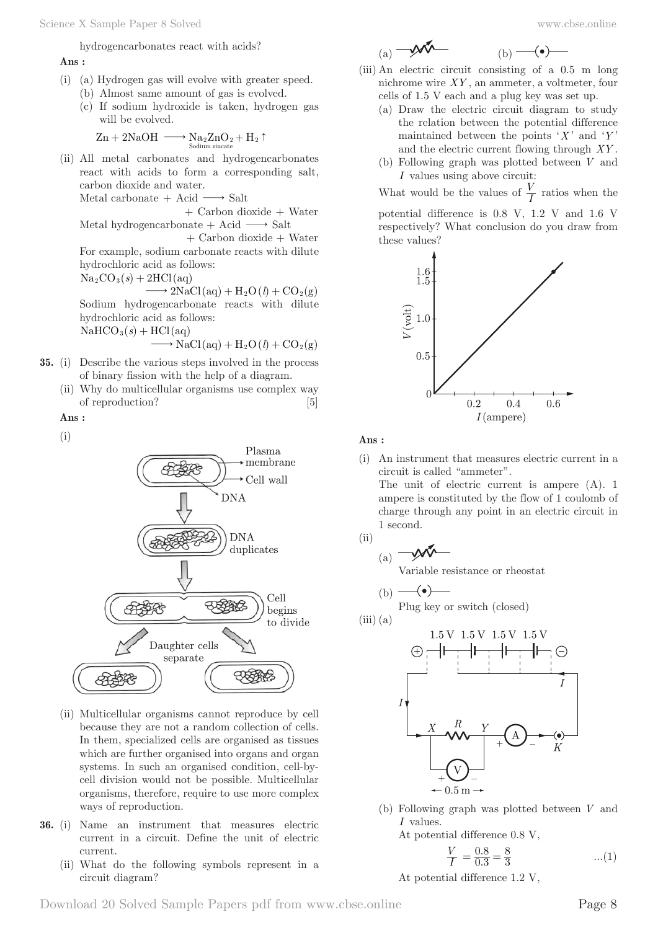hydrogencarbonates react with acids?

#### **Ans :**

- (i) (a) Hydrogen gas will evolve with greater speed. (b) Almost same amount of gas is evolved.
	- (c) If sodium hydroxide is taken, hydrogen gas will be evolved.

$$
Zn + 2NaOH \longrightarrow Na_2ZnO_2 + H_2 \uparrow
$$
<sub>Sodium zincate</sub>

(ii) All metal carbonates and hydrogencarbonates react with acids to form a corresponding salt, carbon dioxide and water.

Metal carbonate  $+$  Acid  $\longrightarrow$  Salt

 + Carbon dioxide + Water Metal hydrogencarbonate  $+$  Acid  $\longrightarrow$  Salt + Carbon dioxide + Water For example, sodium carbonate reacts with dilute hydrochloric acid as follows:

$$
Na2CO3(s) + 2HCl(aq)
$$

 $\longrightarrow$  2NaCl(aq) + H<sub>2</sub>O (l) + CO<sub>2</sub>(g) Sodium hydrogencarbonate reacts with dilute hydrochloric acid as follows:  $NaHCO<sub>3</sub>(s) + HCl(aq)$ 

$$
\longrightarrow \mathrm{NaCl}\left(\mathrm{aq}\right) + \mathrm{H}_2\mathrm{O}\left(\mathrm{l}\right) + \mathrm{CO}_2(g)
$$

- **35.** (i) Describe the various steps involved in the process of binary fission with the help of a diagram.
	- (ii) Why do multicellular organisms use complex way of reproduction? [5]

# **Ans :**



- (ii) Multicellular organisms cannot reproduce by cell because they are not a random collection of cells. In them, specialized cells are organised as tissues which are further organised into organs and organ systems. In such an organised condition, cell-bycell division would not be possible. Multicellular organisms, therefore, require to use more complex ways of reproduction.
- **36.** (i) Name an instrument that measures electric current in a circuit. Define the unit of electric current.
	- (ii) What do the following symbols represent in a circuit diagram?

$$
_{\text{(a)}}\text{--}\mathbf{M} \qquad \qquad \text{(b)}
$$

$$
_{\rm (b)}\text{---}(\bullet)\text{---}
$$

- (iii) An electric circuit consisting of a 0.5 m long nichrome wire *XY* , an ammeter, a voltmeter, four cells of 1.5 V each and a plug key was set up.
	- (a) Draw the electric circuit diagram to study the relation between the potential difference maintained between the points  $'X'$  and  $'Y'$ and the electric current flowing through *XY* .
	- (b) Following graph was plotted between *V* and *I* values using above circuit:

What would be the values of  $\frac{V}{I}$  ratios when the

 potential difference is 0.8 V, 1.2 V and 1.6 V respectively? What conclusion do you draw from these values?



# **Ans :**

(i) An instrument that measures electric current in a circuit is called "ammeter". The unit of electric current is ampere (A). 1 ampere is constituted by the flow of 1 coulomb of charge through any point in an electric circuit in 1 second. (ii)

(a) 
$$
\overline{\mathbf{W}}
$$
  $\overline{\mathbf{W}}$   $\overline{\mathbf{W}}$   $\overline{\mathbf{W}}$   $\overline{\mathbf{W}}$   $\overline{\mathbf{W}}$   $\overline{\mathbf{W}}$   $\overline{\mathbf{W}}$   $\overline{\mathbf{W}}$   $\overline{\mathbf{W}}$   $\overline{\mathbf{W}}$   $\overline{\mathbf{W}}$   $\overline{\mathbf{W}}$   $\overline{\mathbf{W}}$   $\overline{\mathbf{W}}$   $\overline{\mathbf{W}}$   $\overline{\mathbf{W}}$   $\overline{\mathbf{W}}$   $\overline{\mathbf{W}}$   $\overline{\mathbf{W}}$   $\overline{\mathbf{W}}$   $\overline{\mathbf{W}}$   $\overline{\mathbf{W}}$   $\overline{\mathbf{W}}$   $\overline{\mathbf{W}}$   $\overline{\mathbf{W}}$   $\overline{\mathbf{W}}$   $\overline{\mathbf{W}}$   $\overline{\mathbf{W}}$   $\overline{\mathbf{W}}$   $\overline{\mathbf{W}}$   $\overline{\mathbf{W}}$   $\overline{\mathbf{W}}$   $\overline{\mathbf{W}}$   $\overline{\mathbf{W}}$   $\overline{\mathbf{W}}$   $\overline{\mathbf{W}}$   $\overline{\mathbf{W}}$   $\overline{\mathbf{W}}$   $\overline{\mathbf{W}}$   $\overline{\mathbf{W}}$   $\overline{\mathbf{W}}$   $\overline{\mathbf{W}}$   $\overline{\mathbf{W}}$   $\overline{\mathbf{W}}$   $\overline{\mathbf{W}}$   $\overline{\mathbf{W}}$   $\overline{\mathbf$ 

(b) 
$$
\leftarrow
$$
 \nPlug key or switch (closed)

 $(iii)$   $(a)$ 



(b) Following graph was plotted between *V* and *I* values.

At potential difference 0.8 V,

$$
\frac{V}{I} = \frac{0.8}{0.3} = \frac{8}{3}
$$
...(1)

At potential difference 1.2 V,